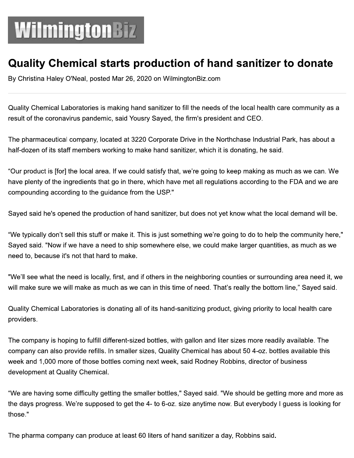## WilmingtonBiz

## Quality Chemical starts production of hand sanitizer to donate

By Christina Haley O'Neal, posted Mar 26, 2020 on WilmingtonBiz.com

Quality Chemical Laboratories is making hand sanitizer to fill the needs of the local health care community as a result of the coronavirus pandemic, said Yousry Sayed, the firm's president and CEO.

The pharmaceutical company, located at 3220 Corporate Drive in the Northchase Industrial Park, has about a half-dozen of its staff members working to make hand sanitizer, which it is donating, he said.

"Our product is [for] the local area. If we could satisfy that, we're going to keep making as much as we can. We have plenty of the ingredients that go in there, which have met all regulations according to the FDA and we are compounding according to the guidance from the USP."

Sayed said he's opened the production of hand sanitizer, but does not yet know what the local demand will be.

"We typically don't sell this stuff or make it. This is just something we're going to do to help the community here," Sayed said. "Now if we have a need to ship somewhere else, we could make larger quantities, as much as we need to, because it's not that hard to make.

"We'll see what the need is locally, first, and if others in the neighboring counties or surrounding area need it, we will make sure we will make as much as we can in this time of need. That's really the bottom line," Sayed said.

Quality Chemical Laboratories is donating all of its hand-sanitizing product, giving priority to local health care providers.

The company is hoping to fulfill different-sized bottles, with gallon and liter sizes more readily available. The company can also provide refills. In smaller sizes, Quality Chemical has about 50 4-oz. bottles available this week and 1,000 more of those bottles coming next week, said Rodney Robbins, director of business development at Quality Chemical.

"We are having some difficulty getting the smaller bottles," Sayed said. "We should be getting more and more as the days progress. We're supposed to get the 4- to 6-oz. size anytime now. But everybody I guess is looking for those."

The pharma company can produce at least 60 liters of hand sanitizer a day, Robbins said.